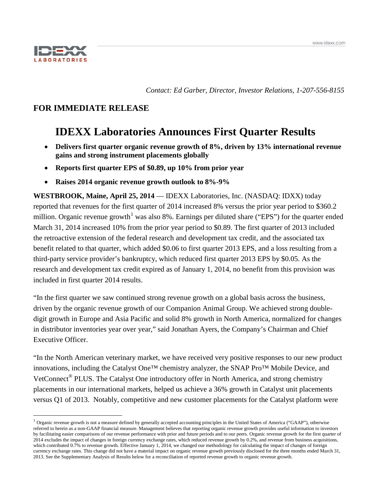

*Contact: Ed Garber, Director, Investor Relations, 1-207-556-8155*

# **FOR IMMEDIATE RELEASE**

# **IDEXX Laboratories Announces First Quarter Results**

- **Delivers first quarter organic revenue growth of 8%, driven by 13% international revenue gains and strong instrument placements globally**
- **Reports first quarter EPS of \$0.89, up 10% from prior year**
- **Raises 2014 organic revenue growth outlook to 8%-9%**

**WESTBROOK, Maine, April 25, 2014** — IDEXX Laboratories, Inc. (NASDAQ: IDXX) today reported that revenues for the first quarter of 2014 increased 8% versus the prior year period to \$360.2 million. Organic revenue growth<sup>[1](#page-0-0)</sup> was also 8%. Earnings per diluted share ("EPS") for the quarter ended March 31, 2014 increased 10% from the prior year period to \$0.89. The first quarter of 2013 included the retroactive extension of the federal research and development tax credit, and the associated tax benefit related to that quarter, which added \$0.06 to first quarter 2013 EPS, and a loss resulting from a third-party service provider's bankruptcy, which reduced first quarter 2013 EPS by \$0.05. As the research and development tax credit expired as of January 1, 2014, no benefit from this provision was included in first quarter 2014 results.

"In the first quarter we saw continued strong revenue growth on a global basis across the business, driven by the organic revenue growth of our Companion Animal Group. We achieved strong doubledigit growth in Europe and Asia Pacific and solid 8% growth in North America, normalized for changes in distributor inventories year over year," said Jonathan Ayers, the Company's Chairman and Chief Executive Officer.

"In the North American veterinary market, we have received very positive responses to our new product innovations, including the Catalyst One™ chemistry analyzer, the SNAP Pro™ Mobile Device, and VetConnect<sup>®</sup> PLUS. The Catalyst One introductory offer in North America, and strong chemistry placements in our international markets, helped us achieve a 36% growth in Catalyst unit placements versus Q1 of 2013. Notably, competitive and new customer placements for the Catalyst platform were

<span id="page-0-0"></span> $1$  Organic revenue growth is not a measure defined by generally accepted accounting principles in the United States of America ("GAAP"), otherwise referred to herein as a non-GAAP financial measure. Management believes that reporting organic revenue growth provides useful information to investors by facilitating easier comparisons of our revenue performance with prior and future periods and to our peers. Organic revenue growth for the first quarter of 2014 excludes the impact of changes in foreign currency exchange rates, which reduced revenue growth by 0.2%, and revenue from business acquisitions, which contributed 0.7% to revenue growth. Effective January 1, 2014, we changed our methodology for calculating the impact of changes of foreign currency exchange rates. This change did not have a material impact on organic revenue growth previously disclosed for the three months ended March 31, 2013. See the Supplementary Analysis of Results below for a reconciliation of reported revenue growth to organic revenue growth.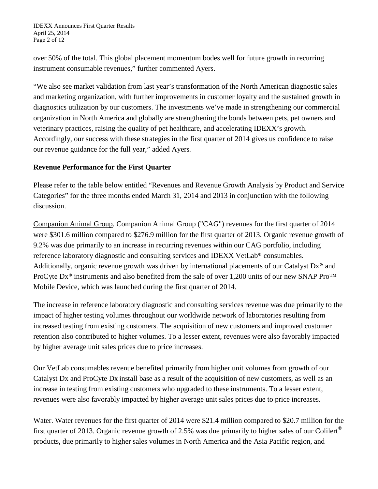IDEXX Announces First Quarter Results April 25, 2014 Page 2 of 12

over 50% of the total. This global placement momentum bodes well for future growth in recurring instrument consumable revenues," further commented Ayers.

"We also see market validation from last year's transformation of the North American diagnostic sales and marketing organization, with further improvements in customer loyalty and the sustained growth in diagnostics utilization by our customers. The investments we've made in strengthening our commercial organization in North America and globally are strengthening the bonds between pets, pet owners and veterinary practices, raising the quality of pet healthcare, and accelerating IDEXX's growth. Accordingly, our success with these strategies in the first quarter of 2014 gives us confidence to raise our revenue guidance for the full year," added Ayers*.*

# **Revenue Performance for the First Quarter**

Please refer to the table below entitled "Revenues and Revenue Growth Analysis by Product and Service Categories" for the three months ended March 31, 2014 and 2013 in conjunction with the following discussion.

Companion Animal Group . Companion Animal Group ("CAG") revenues for the first quarter of 2014 were \$301.6 million compared to \$276.9 million for the first quarter of 2013. Organic revenue growth of 9.2% was due primarily to an increase in recurring revenues within our CAG portfolio, including reference laboratory diagnostic and consulting services and IDEXX VetLab® consumables. Additionally, organic revenue growth was driven by international placements of our Catalyst Dx® and ProCyte Dx<sup>®</sup> instruments and also benefited from the sale of over 1,200 units of our new SNAP Pro<sup>™</sup> Mobile Device, which was launched during the first quarter of 2014.

The increase in reference laboratory diagnostic and consulting services revenue was due primarily to the impact of higher testing volumes throughout our worldwide network of laboratories resulting from increased testing from existing customers. The acquisition of new customers and improved customer retention also contributed to higher volumes. To a lesser extent, revenues were also favorably impacted by higher average unit sales prices due to price increases.

Our VetLab consumables revenue benefited primarily from higher unit volumes from growth of our Catalyst Dx and ProCyte Dx install base as a result of the acquisition of new customers, as well as an increase in testing from existing customers who upgraded to these instruments. To a lesser extent, revenues were also favorably impacted by higher average unit sales prices due to price increases.

Water. Water revenues for the first quarter of 2014 were \$21.4 million compared to \$20.7 million for the first quarter of 2013. Organic revenue growth of 2.5% was due primarily to higher sales of our Colilert® products, due primarily to higher sales volumes in North America and the Asia Pacific region, and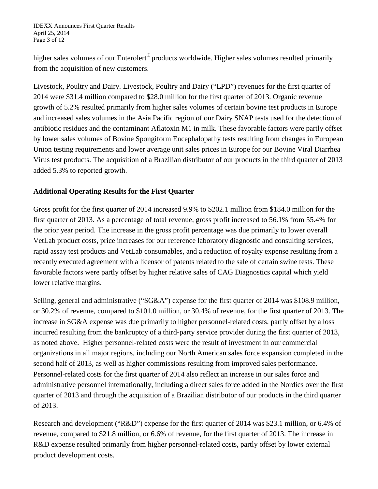higher sales volumes of our Enterolert<sup>®</sup> products worldwide. Higher sales volumes resulted primarily from the acquisition of new customers.

Livestock, Poultry and Dairy. Livestock, Poultry and Dairy ("LPD") revenues for the first quarter of 2014 were \$31.4 million compared to \$28.0 million for the first quarter of 2013. Organic revenue growth of 5.2% resulted primarily from higher sales volumes of certain bovine test products in Europe and increased sales volumes in the Asia Pacific region of our Dairy SNAP tests used for the detection of antibiotic residues and the contaminant Aflatoxin M1 in milk. These favorable factors were partly offset by lower sales volumes of Bovine Spongiform Encephalopathy tests resulting from changes in European Union testing requirements and lower average unit sales prices in Europe for our Bovine Viral Diarrhea Virus test products. The acquisition of a Brazilian distributor of our products in the third quarter of 2013 added 5.3% to reported growth.

# **Additional Operating Results for the First Quarter**

Gross profit for the first quarter of 2014 increased 9.9% to \$202.1 million from \$184.0 million for the first quarter of 2013. As a percentage of total revenue, gross profit increased to 56.1% from 55.4% for the prior year period. The increase in the gross profit percentage was due primarily to lower overall VetLab product costs, price increases for our reference laboratory diagnostic and consulting services, rapid assay test products and VetLab consumables, and a reduction of royalty expense resulting from a recently executed agreement with a licensor of patents related to the sale of certain swine tests. These favorable factors were partly offset by higher relative sales of CAG Diagnostics capital which yield lower relative margins.

Selling, general and administrative ("SG&A") expense for the first quarter of 2014 was \$108.9 million, or 30.2% of revenue, compared to \$101.0 million, or 30.4% of revenue, for the first quarter of 2013. The increase in SG&A expense was due primarily to higher personnel-related costs, partly offset by a loss incurred resulting from the bankruptcy of a third-party service provider during the first quarter of 2013, as noted above. Higher personnel-related costs were the result of investment in our commercial organizations in all major regions, including our North American sales force expansion completed in the second half of 2013, as well as higher commissions resulting from improved sales performance. Personnel-related costs for the first quarter of 2014 also reflect an increase in our sales force and administrative personnel internationally, including a direct sales force added in the Nordics over the first quarter of 2013 and through the acquisition of a Brazilian distributor of our products in the third quarter of 2013.

Research and development ("R&D") expense for the first quarter of 2014 was \$23.1 million, or 6.4% of revenue, compared to \$21.8 million, or 6.6% of revenue, for the first quarter of 2013. The increase in R&D expense resulted primarily from higher personnel-related costs, partly offset by lower external product development costs.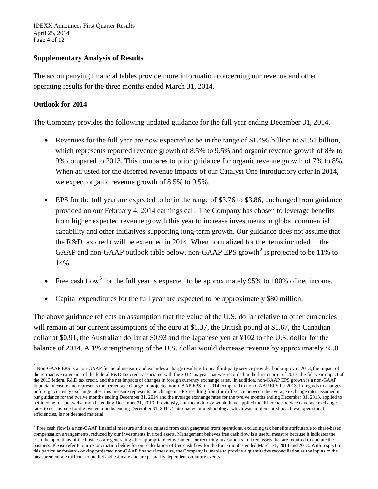IDEXX Announces First Quarter Results April 25, 2014 Page 4 of 12

# **Supplementary Analysis of Results**

The accompanying financial tables provide more information concerning our revenue and other operating results for the three months ended March 31, 2014.

# **Outlook for 2014**

The Company provides the following updated guidance for the full year ending December 31, 2014.

- Revenues for the full year are now expected to be in the range of \$1.495 billion to \$1.51 billion, which represents reported revenue growth of 8.5% to 9.5% and organic revenue growth of 8% to 9% compared to 2013. This compares to prior guidance for organic revenue growth of 7% to 8%. When adjusted for the deferred revenue impacts of our Catalyst One introductory offer in 2014, we expect organic revenue growth of 8.5% to 9.5%.
- EPS for the full year are expected to be in the range of \$3.76 to \$3.86, unchanged from guidance provided on our February 4, 2014 earnings call. The Company has chosen to leverage benefits from higher expected revenue growth this year to increase investments in global commercial capability and other initiatives supporting long-term growth. Our guidance does not assume that the R&D tax credit will be extended in 2014. When normalized for the items included in the GAAP and non-GAAP outlook table below, non-GAAP EPS growth<sup>[2](#page-3-0)</sup> is projected to be 11% to 14%.
- Free cash flow<sup>[3](#page-3-1)</sup> for the full year is expected to be approximately 95% to 100% of net income.
- Capital expenditures for the full year are expected to be approximately \$80 million.

The above guidance reflects an assumption that the value of the U.S. dollar relative to other currencies will remain at our current assumptions of the euro at \$1.37, the British pound at \$1.67, the Canadian dollar at \$0.91, the Australian dollar at \$0.93 and the Japanese yen at ¥102 to the U.S. dollar for the balance of 2014. A 1% strengthening of the U.S. dollar would decrease revenue by approximately \$5.0

<span id="page-3-0"></span> $<sup>2</sup>$  Non-GAAP EPS is a non-GAAP financial measure and excludes a charge resulting from a third-party service provider bankruptcy in 2013, the impact of</sup> the retroactive extension of the federal R&D tax credit associated with the 2012 tax year that was recorded in the first quarter of 2013, the full year impact of the 2013 federal R&D tax credit, and the net impacts of changes in foreign currency exchange rates. In addition, non-GAAP EPS growth is a non-GAAP financial measure and represents the percentage change in projected non-GAAP EPS for 2014 compared to non-GAAP EPS for 2013. In regards to changes in foreign currency exchange rates, this measure represents the change in EPS resulting from the difference between the average exchange rates assumed in our guidance for the twelve months ending December 31, 2014 and the average exchange rates for the twelve months ending December 31, 2013, applied to net income for the twelve months ending December 31, 2013. Previously, our methodology would have applied the difference between average exchange rates to net income for the twelve months ending December 31, 2014. This change in methodology, which was implemented to achieve operational efficiencies, is not deemed material.

<span id="page-3-1"></span> $3$  Free cash flow is a non-GAAP financial measure and is calculated from cash generated from operations, excluding tax benefits attributable to share-based compensation arrangements, reduced by our investments in fixed assets. Management believes free cash flow is a useful measure because it indicates the cash the operations of the business are generating after appropriate reinvestment for recurring investments in fixed assets that are required to operate the business. Please refer to our reconciliation below for our calculation of free cash flow for the three months ended March 31, 2014 and 2013. With respect to this particular forward-looking projected non-GAAP financial measure, the Company is unable to provide a quantitative reconciliation as the inputs to the measurement are difficult to predict and estimate and are primarily dependent on future events.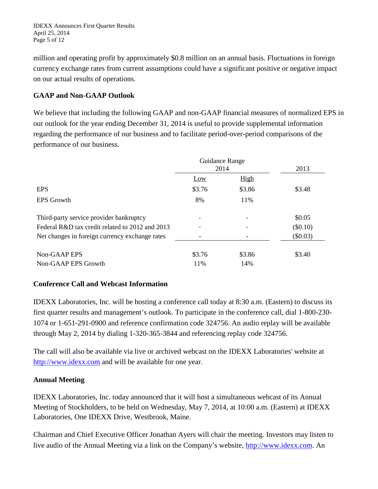IDEXX Announces First Quarter Results April 25, 2014 Page 5 of 12

million and operating profit by approximately \$0.8 million on an annual basis. Fluctuations in foreign currency exchange rates from current assumptions could have a significant positive or negative impact on our actual results of operations.

# **GAAP and Non-GAAP Outlook**

We believe that including the following GAAP and non-GAAP financial measures of normalized EPS in our outlook for the year ending December 31, 2014 is useful to provide supplemental information regarding the performance of our business and to facilitate period-over-period comparisons of the performance of our business.

|                                                 | Guidance Range |             |            |
|-------------------------------------------------|----------------|-------------|------------|
|                                                 | 2014           |             | 2013       |
|                                                 | Low            | <b>High</b> |            |
| <b>EPS</b>                                      | \$3.76         | \$3.86      | \$3.48     |
| <b>EPS</b> Growth                               | 8%             | 11%         |            |
| Third-party service provider bankruptcy         |                |             | \$0.05     |
| Federal R&D tax credit related to 2012 and 2013 |                |             | $(\$0.10)$ |
| Net changes in foreign currency exchange rates  |                |             | (\$0.03)   |
| Non-GAAP EPS                                    | \$3.76         | \$3.86      | \$3.40     |
| Non-GAAP EPS Growth                             | 11%            | 14%         |            |

## **Conference Call and Webcast Information**

IDEXX Laboratories, Inc. will be hosting a conference call today at 8:30 a.m. (Eastern) to discuss its first quarter results and management's outlook. To participate in the conference call, dial 1-800-230- 1074 or 1-651-291-0900 and reference confirmation code 324756. An audio replay will be available through May 2, 2014 by dialing 1-320-365-3844 and referencing replay code 324756.

The call will also be available via live or archived webcast on the IDEXX Laboratories' website at [http://www.idexx.com](http://www.idexx.com/) and will be available for one year.

## **Annual Meeting**

IDEXX Laboratories, Inc. today announced that it will host a simultaneous webcast of its Annual Meeting of Stockholders, to be held on Wednesday, May 7, 2014, at 10:00 a.m. (Eastern) at IDEXX Laboratories, One IDEXX Drive, Westbrook, Maine.

Chairman and Chief Executive Officer Jonathan Ayers will chair the meeting. Investors may listen to live audio of the Annual Meeting via a link on the Company's website, [http://www.idexx.com.](http://www.idexx.com/) An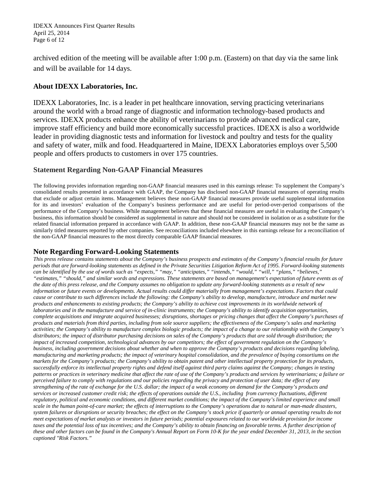IDEXX Announces First Quarter Results April 25, 2014 Page 6 of 12

archived edition of the meeting will be available after 1:00 p.m. (Eastern) on that day via the same link and will be available for 14 days.

# **About IDEXX Laboratories, Inc.**

IDEXX Laboratories, Inc. is a leader in pet healthcare innovation, serving practicing veterinarians around the world with a broad range of diagnostic and information technology-based products and services. IDEXX products enhance the ability of veterinarians to provide advanced medical care, improve staff efficiency and build more economically successful practices. IDEXX is also a worldwide leader in providing diagnostic tests and information for livestock and poultry and tests for the quality and safety of water, milk and food. Headquartered in Maine, IDEXX Laboratories employs over 5,500 people and offers products to customers in over 175 countries.

# **Statement Regarding Non-GAAP Financial Measures**

The following provides information regarding non-GAAP financial measures used in this earnings release: To supplement the Company's consolidated results presented in accordance with GAAP, the Company has disclosed non-GAAP financial measures of operating results that exclude or adjust certain items. Management believes these non-GAAP financial measures provide useful supplemental information for its and investors' evaluation of the Company's business performance and are useful for period-over-period comparisons of the performance of the Company's business. While management believes that these financial measures are useful in evaluating the Company's business, this information should be considered as supplemental in nature and should not be considered in isolation or as a substitute for the related financial information prepared in accordance with GAAP. In addition, these non-GAAP financial measures may not be the same as similarly titled measures reported by other companies. See reconciliations included elsewhere in this earnings release for a reconciliation of the non-GAAP financial measures to the most directly comparable GAAP financial measures.

## **Note Regarding Forward-Looking Statements**

*This press release contains statements about the Company's business prospects and estimates of the Company's financial results for future periods that are forward-looking statements as defined in the Private Securities Litigation Reform Act of 1995. Forward-looking statements can be identified by the use of words such as "expects," "may," "anticipates," "intends," "would," "will," "plans," "believes," "estimates," "should," and similar words and expressions. These statements are based on management's expectation of future events as of the date of this press release, and the Company assumes no obligation to update any forward-looking statements as a result of new information or future events or developments. Actual results could differ materially from management's expectations. Factors that could cause or contribute to such differences include the following: the Company's ability to develop, manufacture, introduce and market new products and enhancements to existing products; the Company's ability to achieve cost improvements in its worldwide network of laboratories and in the manufacture and service of in-clinic instruments; the Company's ability to identify acquisition opportunities, complete acquisitions and integrate acquired businesses; disruptions, shortages or pricing changes that affect the Company's purchases of products and materials from third parties, including from sole source suppliers; the effectiveness of the Company's sales and marketing activities; the Company's ability to manufacture complex biologic products; the impact of a change to our relationship with the Company's distributors; the impact of distributor purchasing decisions on sales of the Company's products that are sold through distribution; the impact of increased competition, technological advances by our competitors; the effect of government regulation on the Company's business, including government decisions about whether and when to approve the Company's products and decisions regarding labeling, manufacturing and marketing products; the impact of veterinary hospital consolidation, and the prevalence of buying consortiums on the markets for the Company's products; the Company's ability to obtain patent and other intellectual property protection for its products, successfully enforce its intellectual property rights and defend itself against third party claims against the Company; changes in testing patterns or practices in veterinary medicine that affect the rate of use of the Company's products and services by veterinarians; a failure or perceived failure to comply with regulations and our policies regarding the privacy and protection of user data; the effect of any strengthening of the rate of exchange for the U.S. dollar; the impact of a weak economy on demand for the Company's products and services or increased customer credit risk; the effects of operations outside the U.S., including from currency fluctuations, different*  regulatory, political and economic conditions, and different market conditions; the impact of the Company's limited experience and small *scale in the human point-of-care market; the effects of interruptions to the Company's operations due to natural or man-made disasters, system failures or disruptions or security breaches; the effect on the Company's stock price if quarterly or annual operating results do not meet expectations of market analysts or investors in future periods; potential exposures related to our worldwide provision for income taxes and the potential loss of tax incentives; and the Company's ability to obtain financing on favorable terms. A further description of these and other factors can be found in the Company's Annual Report on Form 10-K for the year ended December 31, 2013, in the section captioned "Risk Factors."*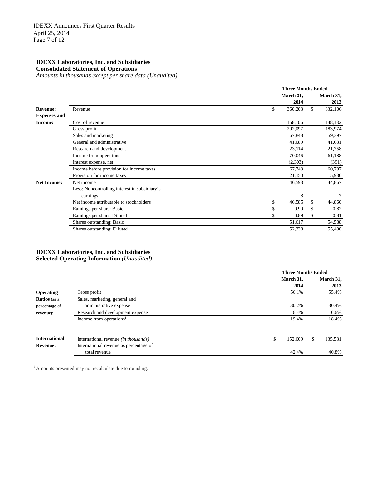**Consolidated Statement of Operations** *Amounts in thousands except per share data (Unaudited)*

|                     |                                               |           | <b>Three Months Ended</b><br>2014<br>\$<br>360,203<br>158,106<br>202,097<br>67,848<br>41,089<br>23,114<br>70,046<br>(2,303)<br>67,743<br>21,150<br>46,593<br>8<br>46,585 |           |  |  |
|---------------------|-----------------------------------------------|-----------|--------------------------------------------------------------------------------------------------------------------------------------------------------------------------|-----------|--|--|
|                     |                                               | March 31, |                                                                                                                                                                          | March 31, |  |  |
|                     |                                               |           |                                                                                                                                                                          | 2013      |  |  |
| <b>Revenue:</b>     | Revenue                                       | \$        |                                                                                                                                                                          | 332,106   |  |  |
| <b>Expenses and</b> |                                               |           |                                                                                                                                                                          |           |  |  |
| <b>Income:</b>      | Cost of revenue                               |           |                                                                                                                                                                          | 148,132   |  |  |
|                     | Gross profit                                  |           |                                                                                                                                                                          | 183,974   |  |  |
|                     | Sales and marketing                           |           |                                                                                                                                                                          | 59,397    |  |  |
|                     | General and administrative                    |           |                                                                                                                                                                          | 41,631    |  |  |
|                     | Research and development                      |           |                                                                                                                                                                          | 21,758    |  |  |
|                     | Income from operations                        |           |                                                                                                                                                                          | 61,188    |  |  |
|                     | Interest expense, net                         |           |                                                                                                                                                                          | (391)     |  |  |
|                     | Income before provision for income taxes      |           |                                                                                                                                                                          | 60,797    |  |  |
|                     | Provision for income taxes                    |           |                                                                                                                                                                          | 15,930    |  |  |
| <b>Net Income:</b>  | Net income                                    |           |                                                                                                                                                                          | 44,867    |  |  |
|                     | Less: Noncontrolling interest in subsidiary's |           |                                                                                                                                                                          |           |  |  |
|                     | earnings                                      |           |                                                                                                                                                                          | 7         |  |  |
|                     | Net income attributable to stockholders       | \$        |                                                                                                                                                                          | 44,860    |  |  |
|                     | Earnings per share: Basic                     | 0.90      | \$                                                                                                                                                                       | 0.82      |  |  |
|                     | Earnings per share: Diluted                   | 0.89      | \$                                                                                                                                                                       | 0.81      |  |  |
|                     | Shares outstanding: Basic                     | 51,617    |                                                                                                                                                                          | 54,588    |  |  |
|                     | Shares outstanding: Diluted                   | 52,338    |                                                                                                                                                                          | 55,490    |  |  |

#### **IDEXX Laboratories, Inc. and Subsidiaries Selected Operating Information** *(Unaudited)*

|                      |                                        | <b>Three Months Ended</b> |           |
|----------------------|----------------------------------------|---------------------------|-----------|
|                      |                                        | March 31,                 | March 31, |
|                      |                                        | 2014                      | 2013      |
| <b>Operating</b>     | Gross profit                           | 56.1%                     | 55.4%     |
| Ratios (as a         | Sales, marketing, general and          |                           |           |
| percentage of        | administrative expense                 | 30.2%                     | 30.4%     |
| revenue):            | Research and development expense       | 6.4%                      | 6.6%      |
|                      | Income from operations <sup>1</sup>    | 19.4%                     | 18.4%     |
| <b>International</b> | International revenue (in thousands)   | \$<br>152,609             | 135,531   |
| <b>Revenue:</b>      | International revenue as percentage of |                           |           |
|                      | total revenue                          | 42.4%                     | 40.8%     |

<sup>1</sup> Amounts presented may not recalculate due to rounding.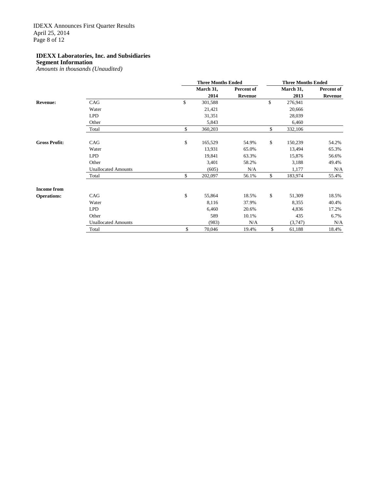### **Segment Information**

*Amounts in thousands (Unaudited)*

|                      |                            |               | <b>Three Months Ended</b> |    | <b>Three Months Ended</b> |                |  |  |  |
|----------------------|----------------------------|---------------|---------------------------|----|---------------------------|----------------|--|--|--|
|                      |                            | March 31,     | Percent of                |    | March 31,                 | Percent of     |  |  |  |
|                      |                            | 2014          | <b>Revenue</b>            |    | 2013                      | <b>Revenue</b> |  |  |  |
| <b>Revenue:</b>      | CAG                        | \$<br>301,588 |                           | \$ | 276,941                   |                |  |  |  |
|                      | Water                      | 21,421        |                           |    | 20,666                    |                |  |  |  |
|                      | <b>LPD</b>                 | 31,351        |                           |    | 28,039                    |                |  |  |  |
|                      | Other                      | 5,843         |                           |    | 6,460                     |                |  |  |  |
|                      | Total                      | \$<br>360,203 |                           | \$ | 332,106                   |                |  |  |  |
| <b>Gross Profit:</b> | CAG                        | \$<br>165,529 | 54.9%                     | \$ | 150,239                   | 54.2%          |  |  |  |
|                      | Water                      | 13.931        | 65.0%                     |    | 13,494                    | 65.3%          |  |  |  |
|                      | <b>LPD</b>                 | 19,841        | 63.3%                     |    | 15,876                    | 56.6%          |  |  |  |
|                      | Other                      | 3,401         | 58.2%                     |    | 3,188                     | 49.4%          |  |  |  |
|                      | <b>Unallocated Amounts</b> | (605)         | N/A                       |    | 1,177                     | N/A            |  |  |  |
|                      | Total                      | \$<br>202,097 | 56.1%                     | \$ | 183,974                   | 55.4%          |  |  |  |
| <b>Income from</b>   |                            |               |                           |    |                           |                |  |  |  |
| <b>Operations:</b>   | CAG                        | \$<br>55,864  | 18.5%                     | \$ | 51,309                    | 18.5%          |  |  |  |
|                      | Water                      | 8,116         | 37.9%                     |    | 8,355                     | 40.4%          |  |  |  |
|                      | <b>LPD</b>                 | 6,460         | 20.6%                     |    | 4,836                     | 17.2%          |  |  |  |
|                      | Other                      | 589           | 10.1%                     |    | 435                       | 6.7%           |  |  |  |
|                      | <b>Unallocated Amounts</b> | (983)         | N/A                       |    | (3,747)                   | N/A            |  |  |  |
|                      | Total                      | \$<br>70,046  | 19.4%                     | \$ | 61,188                    | 18.4%          |  |  |  |
|                      |                            |               |                           |    |                           |                |  |  |  |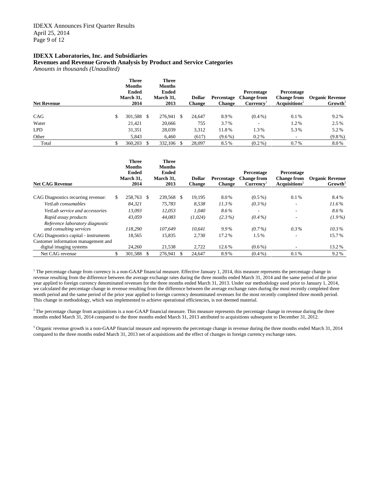**Revenues and Revenue Growth Analysis by Product and Service Categories**

*Amounts in thousands (Unaudited)*

| <b>Net Revenue</b> | <b>Three</b><br><b>Months</b><br><b>Ended</b><br>March 31,<br>2014 |     | <b>Three</b><br><b>Months</b><br><b>Ended</b><br>March 31,<br>2013 |    | <b>Dollar</b><br><b>Change</b> | Percentage<br><b>Change</b> | Percentage<br><b>Change from</b><br>Currence <sup>T</sup> | Percentage<br><b>Change from</b><br>Acquisitions <sup>2</sup> | <b>Organic Revenue</b><br>Growth <sup>3</sup> |
|--------------------|--------------------------------------------------------------------|-----|--------------------------------------------------------------------|----|--------------------------------|-----------------------------|-----------------------------------------------------------|---------------------------------------------------------------|-----------------------------------------------|
|                    |                                                                    |     |                                                                    |    |                                |                             |                                                           |                                                               |                                               |
| CAG                | \$<br>301,588                                                      | \$. | 276,941                                                            | -S | 24,647                         | 8.9%                        | $(0.4\%)$                                                 | 0.1%                                                          | 9.2%                                          |
| Water              | 21.421                                                             |     | 20,666                                                             |    | 755                            | 3.7%                        |                                                           | 1.2%                                                          | 2.5%                                          |
| <b>LPD</b>         | 31,351                                                             |     | 28,039                                                             |    | 3,312                          | 11.8%                       | 1.3%                                                      | 5.3%                                                          | 5.2%                                          |
| Other              | 5,843                                                              |     | 6.460                                                              |    | (617)                          | $(9.6\%)$                   | $0.2\%$                                                   |                                                               | $(9.8\%)$                                     |
| Total              | 360,203                                                            |     | 332,106                                                            |    | 28,097                         | 8.5%                        | $(0.2\%)$                                                 | $0.7\%$                                                       | 8.0%                                          |

| <b>Net CAG Revenue</b>                |    | <b>Three</b><br><b>Months</b><br><b>Ended</b><br>March 31.<br>2014 |   | <b>Three</b><br><b>Months</b><br><b>Ended</b><br>March 31,<br>2013 |     | <b>Dollar</b><br><b>Change</b> | Percentage<br><b>Change</b> | Percentage<br><b>Change from</b><br>Currence <sup>T</sup> | Percentage<br><b>Change from</b><br>Acouisions <sup>2</sup> | <b>Organic Revenue</b><br>$Growth^3$ |
|---------------------------------------|----|--------------------------------------------------------------------|---|--------------------------------------------------------------------|-----|--------------------------------|-----------------------------|-----------------------------------------------------------|-------------------------------------------------------------|--------------------------------------|
|                                       |    |                                                                    |   |                                                                    |     |                                |                             |                                                           |                                                             |                                      |
| CAG Diagnostics recurring revenue:    | S. | 258.763                                                            | S | 239,568                                                            | \$. | 19,195                         | 8.0%                        | $(0.5\%)$                                                 | 0.1%                                                        | 8.4%                                 |
| VetLab consumables                    |    | 84.321                                                             |   | 75.783                                                             |     | 8.538                          | 11.3%                       | $(0.3\%)$                                                 |                                                             | $11.6\%$                             |
| VetLab service and accessories        |    | 13.093                                                             |   | 12,053                                                             |     | 1.040                          | 8.6%                        |                                                           | ۰                                                           | 8.6%                                 |
| Rapid assay products                  |    | 43,059                                                             |   | 44.083                                                             |     | (1,024)                        | $(2.3\%)$                   | $(0.4\%)$                                                 | $\overline{\phantom{a}}$                                    | $(1.9\%)$                            |
| Reference laboratory diagnostic       |    |                                                                    |   |                                                                    |     |                                |                             |                                                           |                                                             |                                      |
| and consulting services               |    | 118,290                                                            |   | 107.649                                                            |     | 10.641                         | $9.9\%$                     | $(0.7\%)$                                                 | $0.3\%$                                                     | $10.3\%$                             |
| CAG Diagnostics capital - instruments |    | 18,565                                                             |   | 15.835                                                             |     | 2.730                          | 17.2%                       | 1.5%                                                      |                                                             | 15.7%                                |
| Customer information management and   |    |                                                                    |   |                                                                    |     |                                |                             |                                                           |                                                             |                                      |
| digital imaging systems               |    | 24,260                                                             |   | 21,538                                                             |     | 2,722                          | 12.6%                       | $(0.6\%)$                                                 |                                                             | 13.2%                                |
| Net CAG revenue                       | \$ | 301,588                                                            |   | 276,941                                                            |     | 24,647                         | 8.9%                        | $(0.4\%)$                                                 | 0.1%                                                        | 9.2%                                 |

 $1$  The percentage change from currency is a non-GAAP financial measure. Effective January 1, 2014, this measure represents the percentage change in revenue resulting from the difference between the average exchange rates during the three months ended March 31, 2014 and the same period of the prior year applied to foreign currency denominated revenues for the three months ended March 31, 2013. Under our methodology used prior to January 1, 2014, we calculated the percentage change in revenue resulting from the difference between the average exchange rates during the most recently completed three month period and the same period of the prior year applied to foreign currency denominated revenues for the most recently completed three month period. This change in methodology, which was implemented to achieve operational efficiencies, is not deemed material.

 $2$ The percentage change from acquisitions is a non-GAAP financial measure. This measure represents the percentage change in revenue during the three months ended March 31, 2014 compared to the three months ended March 31, 2013 attributed to acquisitions subsequent to December 31, 2012.

<sup>3</sup> Organic revenue growth is a non-GAAP financial measure and represents the percentage change in revenue during the three months ended March 31, 2014 compared to the three months ended March 31, 2013 net of acquisitions and the effect of changes in foreign currency exchange rates.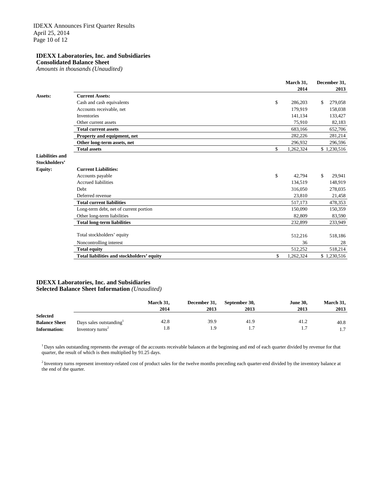**Consolidated Balance Sheet**

*Amounts in thousands (Unaudited)*

|                        |                                            | March 31,       | December 31,  |
|------------------------|--------------------------------------------|-----------------|---------------|
|                        |                                            | 2014            | 2013          |
| Assets:                | <b>Current Assets:</b>                     |                 |               |
|                        | Cash and cash equivalents                  | \$<br>286,203   | \$<br>279,058 |
|                        | Accounts receivable, net                   | 179.919         | 158,038       |
|                        | <b>Inventories</b>                         | 141,134         | 133,427       |
|                        | Other current assets                       | 75,910          | 82,183        |
|                        | <b>Total current assets</b>                | 683,166         | 652,706       |
|                        | Property and equipment, net                | 282,226         | 281,214       |
|                        | Other long-term assets, net                | 296,932         | 296,596       |
|                        | <b>Total assets</b>                        | \$<br>1,262,324 | \$1,230,516   |
| <b>Liabilities and</b> |                                            |                 |               |
| Stockholders'          |                                            |                 |               |
| <b>Equity:</b>         | <b>Current Liabilities:</b>                |                 |               |
|                        | Accounts payable                           | \$<br>42,794    | 29,941<br>\$  |
|                        | <b>Accrued liabilities</b>                 | 134,519         | 148,919       |
|                        | <b>Debt</b>                                | 316,050         | 278,035       |
|                        | Deferred revenue                           | 23,810          | 21,458        |
|                        | <b>Total current liabilities</b>           | 517,173         | 478,353       |
|                        | Long-term debt, net of current portion     | 150,090         | 150,359       |
|                        | Other long-term liabilities                | 82,809          | 83,590        |
|                        | <b>Total long-term liabilities</b>         | 232,899         | 233,949       |
|                        |                                            |                 |               |
|                        | Total stockholders' equity                 | 512,216         | 518,186       |
|                        | Noncontrolling interest                    | 36              | 28            |
|                        | <b>Total equity</b>                        | 512,252         | 518,214       |
|                        | Total liabilities and stockholders' equity | \$<br>1,262,324 | \$1,230,516   |
|                        |                                            |                 |               |

#### **IDEXX Laboratories, Inc. and Subsidiaries Selected Balance Sheet Information** *(Unaudited)*

|                      |                                     | March 31. | December 31, | September 30, | <b>June 30.</b> | March 31, |
|----------------------|-------------------------------------|-----------|--------------|---------------|-----------------|-----------|
|                      |                                     | 2014      | 2013         | 2013          | 2013            | 2013      |
| <b>Selected</b>      |                                     |           |              |               |                 |           |
| <b>Balance Sheet</b> | Days sales outstanding $\mathbf{r}$ | 42.8      | 39.9         | 41.9          | 41.2            | 40.8      |
| <b>Information:</b>  | Inventory turns <sup>2</sup>        | 1.8       | i.9          |               | 1.7             | 1.7       |

<sup>1</sup> Days sales outstanding represents the average of the accounts receivable balances at the beginning and end of each quarter divided by revenue for that quarter, the result of which is then multiplied by 91.25 days.

 $2$  Inventory turns represent inventory-related cost of product sales for the twelve months preceding each quarter-end divided by the inventory balance at the end of the quarter.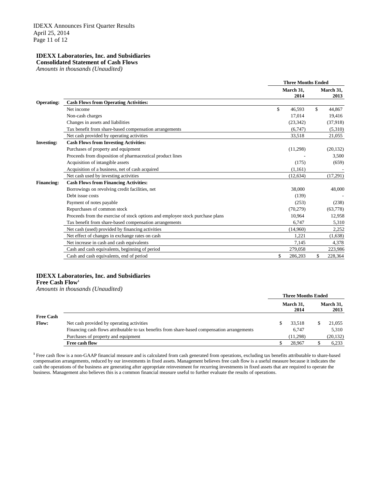**Consolidated Statement of Cash Flows**

*Amounts in thousands (Unaudited)*

|                   |                                                                               | <b>Three Months Ended</b> |                   |
|-------------------|-------------------------------------------------------------------------------|---------------------------|-------------------|
|                   |                                                                               | March 31,<br>2014         | March 31,<br>2013 |
| <b>Operating:</b> | <b>Cash Flows from Operating Activities:</b>                                  |                           |                   |
|                   | Net income                                                                    | \$<br>46,593              | \$<br>44,867      |
|                   | Non-cash charges                                                              | 17,014                    | 19,416            |
|                   | Changes in assets and liabilities                                             | (23, 342)                 | (37,918)          |
|                   | Tax benefit from share-based compensation arrangements                        | (6,747)                   | (5,310)           |
|                   | Net cash provided by operating activities                                     | 33,518                    | 21,055            |
| <b>Investing:</b> | <b>Cash Flows from Investing Activities:</b>                                  |                           |                   |
|                   | Purchases of property and equipment                                           | (11,298)                  | (20, 132)         |
|                   | Proceeds from disposition of pharmaceutical product lines                     |                           | 3,500             |
|                   | Acquisition of intangible assets                                              | (175)                     | (659)             |
|                   | Acquisition of a business, net of cash acquired                               | (1,161)                   |                   |
|                   | Net cash used by investing activities                                         | (12, 634)                 | (17,291)          |
| <b>Financing:</b> | <b>Cash Flows from Financing Activities:</b>                                  |                           |                   |
|                   | Borrowings on revolving credit facilities, net                                | 38,000                    | 48,000            |
|                   | Debt issue costs                                                              | (139)                     |                   |
|                   | Payment of notes payable                                                      | (253)                     | (238)             |
|                   | Repurchases of common stock                                                   | (70, 279)                 | (63,778)          |
|                   | Proceeds from the exercise of stock options and employee stock purchase plans | 10.964                    | 12,958            |
|                   | Tax benefit from share-based compensation arrangements                        | 6.747                     | 5,310             |
|                   | Net cash (used) provided by financing activities                              | (14,960)                  | 2,252             |
|                   | Net effect of changes in exchange rates on cash                               | 1,221                     | (1,638)           |
|                   | Net increase in cash and cash equivalents                                     | 7.145                     | 4,378             |
|                   | Cash and cash equivalents, beginning of period                                | 279,058                   | 223,986           |
|                   | Cash and cash equivalents, end of period                                      | \$<br>286,203             | \$<br>228,364     |
|                   |                                                                               |                           |                   |

### **IDEXX Laboratories, Inc. and Subsidiaries**

**Free Cash Flow1**

*Amounts in thousands (Unaudited)*

|                  |                                                                                              | <b>Three Months Ended</b> |                   |
|------------------|----------------------------------------------------------------------------------------------|---------------------------|-------------------|
|                  |                                                                                              | March 31.<br>2014         | March 31,<br>2013 |
| <b>Free Cash</b> |                                                                                              |                           |                   |
| <b>Flow:</b>     | Net cash provided by operating activities                                                    | 33.518                    | 21.055            |
|                  | Financing cash flows attributable to tax benefits from share-based compensation arrangements | 6.747                     | 5.310             |
|                  | Purchases of property and equipment                                                          | (11.298)                  | (20, 132)         |
|                  | Free cash flow                                                                               | 28.967                    | 6,233             |

**<sup>1</sup>** Free cash flow is a non-GAAP financial measure and is calculated from cash generated from operations, excluding tax benefits attributable to share-based compensation arrangements, reduced by our investments in fixed assets. Management believes free cash flow is a useful measure because it indicates the cash the operations of the business are generating after appropriate reinvestment for recurring investments in fixed assets that are required to operate the business. Management also believes this is a common financial measure useful to further evaluate the results of operations.